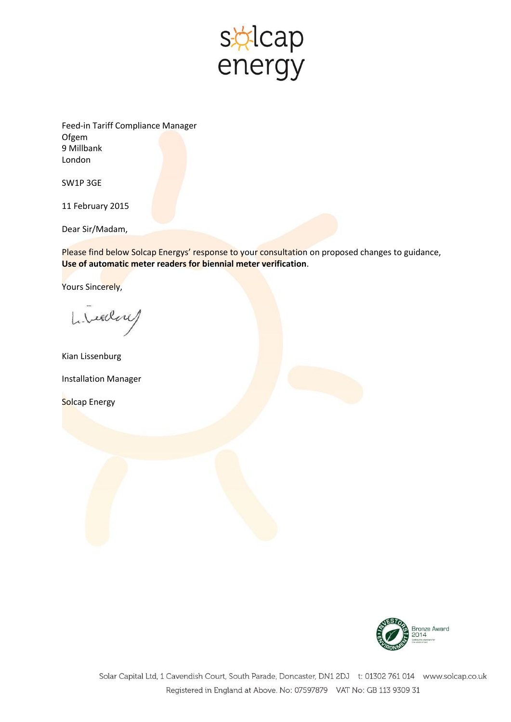

Feed-in Tariff Compliance Manager **Ofgem** 9 Millbank London

SW1P 3GE

11 February 2015

Dear Sir/Madam,

Please find below Solcap Energys' response to your consultation on proposed changes to guidance, **Use of automatic meter readers for biennial meter verification**.

Yours Sincerely,

Libealon

Kian Lissenburg Installation Manager Solcap Energy

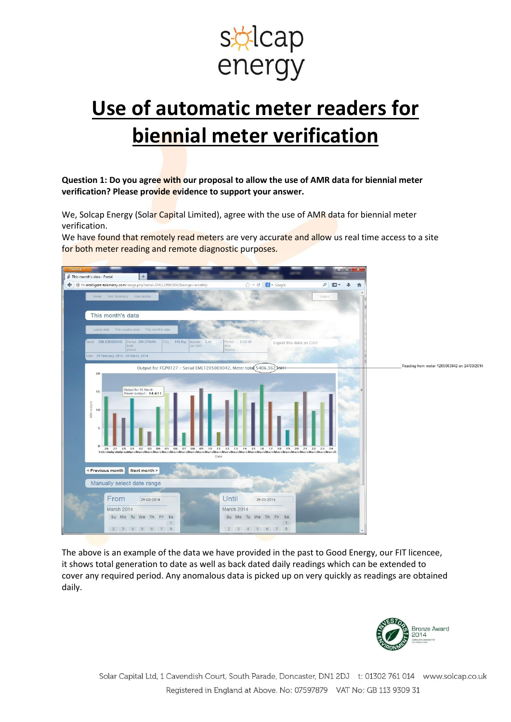

# **Use of automatic meter readers for biennial meter verification**

**Question 1: Do you agree with our proposal to allow the use of AMR data for biennial meter verification? Please provide evidence to support your answer.**

We, Solcap Energy (Solar Capital Limited), agree with the use of AMR data for biennial meter verification.

We have found that remotely read meters are very accurate and allow us real time access to a site for both meter reading and remote diagnostic purposes.



The above is an example of the data we have provided in the past to Good Energy, our FIT licencee, it shows total generation to date as well as back dated daily readings which can be extended to cover any required period. Any anomalous data is picked up on very quickly as readings are obtained daily.

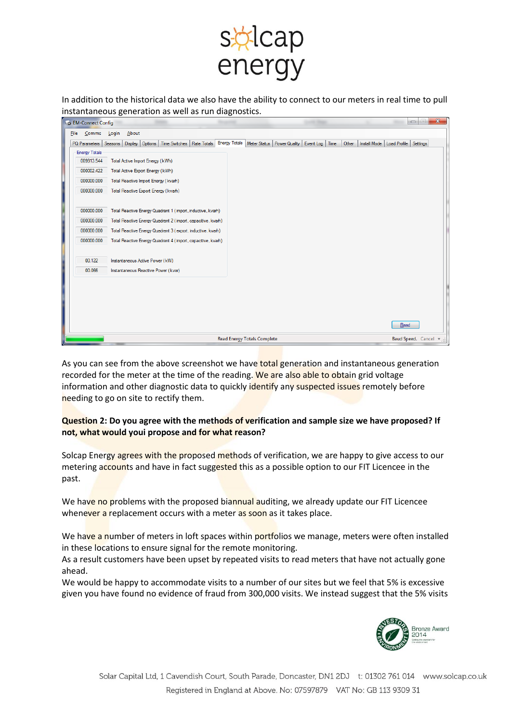

In addition to the historical data we also have the ability to connect to our meters in real time to pull instantaneous generation as well as run diagnostics.

| <b>File</b><br>About<br>Comms<br>Login<br><b>Energy Totals</b><br>Meter Status   Power Quality   Event Log   Time<br>PQ Parameters<br>Seasons<br>Options<br>Time Switches   Rate Totals<br>Other<br>Install Mode   Load Profile   Settings<br>Display<br><b>Energy Totals</b><br>009913.544<br>Total Active Import Energy (kWh)<br>000002.422<br>Total Active Export Energy (kWh)<br>000000.000<br>Total Reactive Import Energy (kvarh)<br>000000.000<br>Total Reactive Export Energy (kvarh)<br>000000.000<br>Total Reactive Energy Quadrant 1 (import, inductive, kvarh)<br>Total Reactive Energy Quadrant 2 (import, capacitive, kvarh)<br>000000.000<br>000000.000<br>Total Reactive Energy Quadrant 3 (export, inductive, kvarh)<br>000000.000<br>Total Reactive Energy Quadrant 4 (import, capacitive, kvarh)<br>00.122<br>Instantaneous Active Power (kW)<br>00.066<br>Instantaneous Reactive Power (kvar)<br>Read<br><b>Read Energy Totals Complete</b> | <b>EM-Connect Config</b> |  |  |  |  |                       |  |  | $\begin{array}{c c c c c c} \hline \multicolumn{1}{c }{\mathbf{C}} & \multicolumn{1}{c }{\mathbf{C}} \end{array}$ |
|-----------------------------------------------------------------------------------------------------------------------------------------------------------------------------------------------------------------------------------------------------------------------------------------------------------------------------------------------------------------------------------------------------------------------------------------------------------------------------------------------------------------------------------------------------------------------------------------------------------------------------------------------------------------------------------------------------------------------------------------------------------------------------------------------------------------------------------------------------------------------------------------------------------------------------------------------------------------|--------------------------|--|--|--|--|-----------------------|--|--|-------------------------------------------------------------------------------------------------------------------|
|                                                                                                                                                                                                                                                                                                                                                                                                                                                                                                                                                                                                                                                                                                                                                                                                                                                                                                                                                                 |                          |  |  |  |  |                       |  |  |                                                                                                                   |
|                                                                                                                                                                                                                                                                                                                                                                                                                                                                                                                                                                                                                                                                                                                                                                                                                                                                                                                                                                 |                          |  |  |  |  |                       |  |  |                                                                                                                   |
|                                                                                                                                                                                                                                                                                                                                                                                                                                                                                                                                                                                                                                                                                                                                                                                                                                                                                                                                                                 |                          |  |  |  |  |                       |  |  |                                                                                                                   |
|                                                                                                                                                                                                                                                                                                                                                                                                                                                                                                                                                                                                                                                                                                                                                                                                                                                                                                                                                                 |                          |  |  |  |  |                       |  |  |                                                                                                                   |
|                                                                                                                                                                                                                                                                                                                                                                                                                                                                                                                                                                                                                                                                                                                                                                                                                                                                                                                                                                 |                          |  |  |  |  |                       |  |  |                                                                                                                   |
|                                                                                                                                                                                                                                                                                                                                                                                                                                                                                                                                                                                                                                                                                                                                                                                                                                                                                                                                                                 |                          |  |  |  |  |                       |  |  |                                                                                                                   |
|                                                                                                                                                                                                                                                                                                                                                                                                                                                                                                                                                                                                                                                                                                                                                                                                                                                                                                                                                                 |                          |  |  |  |  |                       |  |  |                                                                                                                   |
|                                                                                                                                                                                                                                                                                                                                                                                                                                                                                                                                                                                                                                                                                                                                                                                                                                                                                                                                                                 |                          |  |  |  |  |                       |  |  |                                                                                                                   |
|                                                                                                                                                                                                                                                                                                                                                                                                                                                                                                                                                                                                                                                                                                                                                                                                                                                                                                                                                                 |                          |  |  |  |  |                       |  |  |                                                                                                                   |
|                                                                                                                                                                                                                                                                                                                                                                                                                                                                                                                                                                                                                                                                                                                                                                                                                                                                                                                                                                 |                          |  |  |  |  |                       |  |  |                                                                                                                   |
|                                                                                                                                                                                                                                                                                                                                                                                                                                                                                                                                                                                                                                                                                                                                                                                                                                                                                                                                                                 |                          |  |  |  |  |                       |  |  |                                                                                                                   |
|                                                                                                                                                                                                                                                                                                                                                                                                                                                                                                                                                                                                                                                                                                                                                                                                                                                                                                                                                                 |                          |  |  |  |  |                       |  |  |                                                                                                                   |
|                                                                                                                                                                                                                                                                                                                                                                                                                                                                                                                                                                                                                                                                                                                                                                                                                                                                                                                                                                 |                          |  |  |  |  |                       |  |  |                                                                                                                   |
|                                                                                                                                                                                                                                                                                                                                                                                                                                                                                                                                                                                                                                                                                                                                                                                                                                                                                                                                                                 |                          |  |  |  |  |                       |  |  |                                                                                                                   |
|                                                                                                                                                                                                                                                                                                                                                                                                                                                                                                                                                                                                                                                                                                                                                                                                                                                                                                                                                                 |                          |  |  |  |  |                       |  |  |                                                                                                                   |
|                                                                                                                                                                                                                                                                                                                                                                                                                                                                                                                                                                                                                                                                                                                                                                                                                                                                                                                                                                 |                          |  |  |  |  |                       |  |  |                                                                                                                   |
|                                                                                                                                                                                                                                                                                                                                                                                                                                                                                                                                                                                                                                                                                                                                                                                                                                                                                                                                                                 |                          |  |  |  |  |                       |  |  |                                                                                                                   |
|                                                                                                                                                                                                                                                                                                                                                                                                                                                                                                                                                                                                                                                                                                                                                                                                                                                                                                                                                                 |                          |  |  |  |  |                       |  |  |                                                                                                                   |
|                                                                                                                                                                                                                                                                                                                                                                                                                                                                                                                                                                                                                                                                                                                                                                                                                                                                                                                                                                 |                          |  |  |  |  |                       |  |  |                                                                                                                   |
|                                                                                                                                                                                                                                                                                                                                                                                                                                                                                                                                                                                                                                                                                                                                                                                                                                                                                                                                                                 |                          |  |  |  |  |                       |  |  |                                                                                                                   |
|                                                                                                                                                                                                                                                                                                                                                                                                                                                                                                                                                                                                                                                                                                                                                                                                                                                                                                                                                                 |                          |  |  |  |  |                       |  |  |                                                                                                                   |
|                                                                                                                                                                                                                                                                                                                                                                                                                                                                                                                                                                                                                                                                                                                                                                                                                                                                                                                                                                 |                          |  |  |  |  | Baud Speed. Cancel v. |  |  |                                                                                                                   |

As you can see from the above screenshot we have total generation and instantaneous generation recorded for the meter at the time of the reading. We are also able to obtain grid voltage information and other diagnostic data to quickly identify any suspected issues remotely before needing to go on site to rectify them.

### **Question 2: Do you agree with the methods of verification and sample size we have proposed? If not, what would youi propose and for what reason?**

Solcap Energy agrees with the proposed methods of verification, we are happy to give access to our metering accounts and have in fact suggested this as a possible option to our FIT Licencee in the past.

We have no problems with the proposed biannual auditing, we already update our FIT Licencee whenever a replacement occurs with a meter as soon as it takes place.

We have a number of meters in loft spaces within portfolios we manage, meters were often installed in these locations to ensure signal for the remote monitoring.

As a result customers have been upset by repeated visits to read meters that have not actually gone ahead.

We would be happy to accommodate visits to a number of our sites but we feel that 5% is excessive given you have found no evidence of fraud from 300,000 visits. We instead suggest that the 5% visits

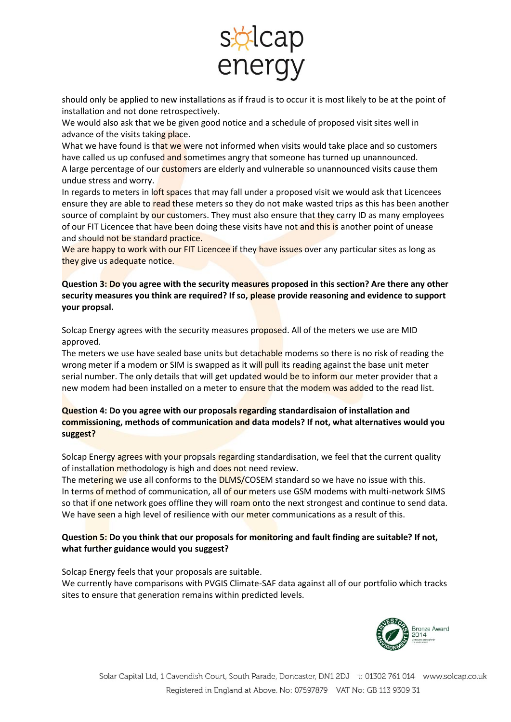

should only be applied to new installations as if fraud is to occur it is most likely to be at the point of installation and not done retrospectively.

We would also ask that we be given good notice and a schedule of proposed visit sites well in advance of the visits taking place.

What we have found is that we were not informed when visits would take place and so customers have called us up confused and sometimes angry that someone has turned up unannounced. A large percentage of our customers are elderly and vulnerable so unannounced visits cause them undue stress and worry.

In regards to meters in loft spaces that may fall under a proposed visit we would ask that Licencees ensure they are able to read these meters so they do not make wasted trips as this has been another source of complaint by our customers. They must also ensure that they carry ID as many employees of our FIT Licencee that have been doing these visits have not and this is another point of unease and should not be standard practice.

We are happy to work with our FIT Licencee if they have issues over any particular sites as long as they give us adequate notice.

**Question 3: Do you agree with the security measures proposed in this section? Are there any other security measures you think are required? If so, please provide reasoning and evidence to support your propsal.**

Solcap Energy agrees with the security measures proposed. All of the meters we use are MID approved.

The meters we use have sealed base units but detachable modems so there is no risk of reading the wrong meter if a modem or SIM is swapped as it will pull its reading against the base unit meter serial number. The only details that will get updated would be to inform our meter provider that a new modem had been installed on a meter to ensure that the modem was added to the read list.

## **Question 4: Do you agree with our proposals regarding standardisaion of installation and commissioning, methods of communication and data models? If not, what alternatives would you suggest?**

Solcap Energy agrees with your propsals regarding standardisation, we feel that the current quality of installation methodology is high and does not need review.

The metering we use all conforms to the **DLMS/COSEM** standard so we have no issue with this. In terms of method of communication, all of our meters use GSM modems with multi-network SIMS so that if one network goes offline they will roam onto the next strongest and continue to send data. We have seen a high level of resilience with our meter communications as a result of this.

## **Question 5: Do you think that our proposals for monitoring and fault finding are suitable? If not, what further guidance would you suggest?**

Solcap Energy feels that your proposals are suitable.

We currently have comparisons with PVGIS Climate-SAF data against all of our portfolio which tracks sites to ensure that generation remains within predicted levels.